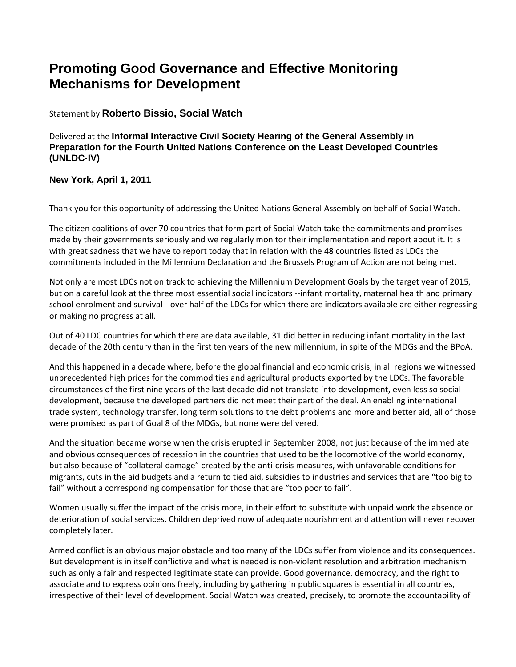## **Promoting Good Governance and Effective Monitoring Mechanisms for Development**

## Statement by **Roberto Bissio, Social Watch**

Delivered at the **Informal Interactive Civil Society Hearing of the General Assembly in Preparation for the Fourth United Nations Conference on the Least Developed Countries (UNLDC**‐**IV)** 

## **New York, April 1, 2011**

Thank you for this opportunity of addressing the United Nations General Assembly on behalf of Social Watch.

The citizen coalitions of over 70 countries that form part of Social Watch take the commitments and promises made by their governments seriously and we regularly monitor their implementation and report about it. It is with great sadness that we have to report today that in relation with the 48 countries listed as LDCs the commitments included in the Millennium Declaration and the Brussels Program of Action are not being met.

Not only are most LDCs not on track to achieving the Millennium Development Goals by the target year of 2015, but on a careful look at the three most essential social indicators ‐‐infant mortality, maternal health and primary school enrolment and survival-- over half of the LDCs for which there are indicators available are either regressing or making no progress at all.

Out of 40 LDC countries for which there are data available, 31 did better in reducing infant mortality in the last decade of the 20th century than in the first ten years of the new millennium, in spite of the MDGs and the BPoA.

And this happened in a decade where, before the global financial and economic crisis, in all regions we witnessed unprecedented high prices for the commodities and agricultural products exported by the LDCs. The favorable circumstances of the first nine years of the last decade did not translate into development, even less so social development, because the developed partners did not meet their part of the deal. An enabling international trade system, technology transfer, long term solutions to the debt problems and more and better aid, all of those were promised as part of Goal 8 of the MDGs, but none were delivered.

And the situation became worse when the crisis erupted in September 2008, not just because of the immediate and obvious consequences of recession in the countries that used to be the locomotive of the world economy, but also because of "collateral damage" created by the anti‐crisis measures, with unfavorable conditions for migrants, cuts in the aid budgets and a return to tied aid, subsidies to industries and services that are "too big to fail" without a corresponding compensation for those that are "too poor to fail".

Women usually suffer the impact of the crisis more, in their effort to substitute with unpaid work the absence or deterioration of social services. Children deprived now of adequate nourishment and attention will never recover completely later.

Armed conflict is an obvious major obstacle and too many of the LDCs suffer from violence and its consequences. But development is in itself conflictive and what is needed is non‐violent resolution and arbitration mechanism such as only a fair and respected legitimate state can provide. Good governance, democracy, and the right to associate and to express opinions freely, including by gathering in public squares is essential in all countries, irrespective of their level of development. Social Watch was created, precisely, to promote the accountability of